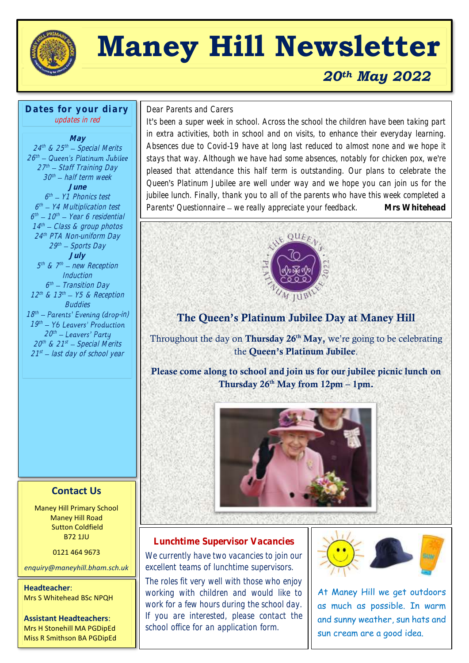

# **Maney Hill Newsletter**

### *20th May 2022*

**Dates for your diary** updates in red

#### **May** 24<sup>th</sup> & 25<sup>th</sup> — Special Merits  $26^{\text{th}}$ 27th – Staff Training Day 30<sup>th</sup> – half term week **June** 6<sup>th</sup> – Y1 Phonics test 6 th Y4 Multiplication test 6<sup>th</sup> – 10<sup>th</sup> – Year 6 residential 14 th Class & group photos 24 th PTA Non-uniform Day 29th – Sports Day **July** 5<sup>th</sup> & 7<sup>th</sup> – new Reception **Induction** 6<sup>th</sup> – Transition Day  $12^{th}$  &  $13^{th}$  –  $Y5$  & Reception **Buddies**  $18<sup>th</sup>$  – Parents' Evening (drop-in)  $19<sup>th</sup>$ 20th 20th & 21st — Special Merits

21<sup>st</sup> – last day of school year

#### **Contact Us**

Maney Hill Primary School Maney Hill Road Sutton Coldfield B72 1JU

0121 464 9673

*enquiry@maneyhill.bham.sch.uk*

**Headteacher**: Mrs S Whitehead BSc NPQH

**Assistant Headteachers**: Mrs H Stonehill MA PGDipEd Miss R Smithson BA PGDipEd

## $\overline{a}$ Dear Parents and Carers

It's been a super week in school. Across the school the children have been taking part in extra activities, both in school and on visits, to enhance their everyday learning. Absences due to Covid-19 have at long last reduced to almost none and we hope it stays that way. Although we have had some absences, notably for chicken pox, we're pleased that attendance this half term is outstanding. Our plans to celebrate the Queen's Platinum Jubilee are well under way and we hope you can join us for the jubilee lunch. Finally, thank you to all of the parents who have this week completed a Parents' Questionnaire – we really appreciate your feedback. Mrs Whitehead



#### The Queen's Platinum Jubilee Day at Maney Hill

Throughout the day on Thursday  $26<sup>th</sup>$  May, we're going to be celebrating the Queen's Platinum Jubilee.

Please come along to school and join us for our jubilee picnic lunch on Thursday  $26<sup>th</sup>$  May from  $12pm - 1pm$ .



#### **Lunchtime Supervisor Vacancies**

We currently have two vacancies to join our excellent teams of lunchtime supervisors.

The roles fit very well with those who enjoy working with children and would like to work for a few hours during the school day. If you are interested, please contact the school office for an application form.



At Maney Hill we get outdoors as much as possible. In warm and sunny weather, sun hats and sun cream are a good idea.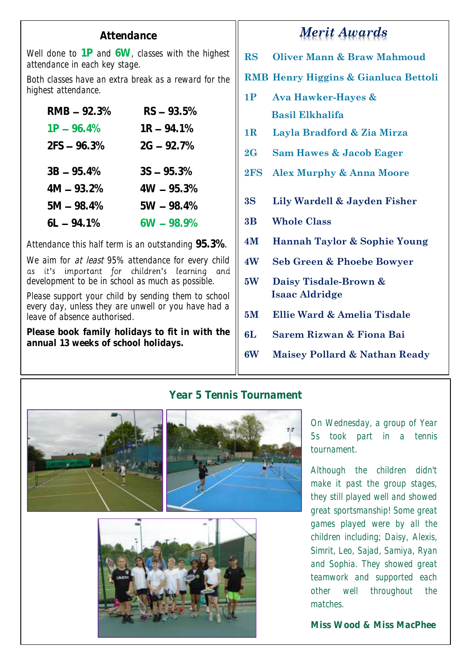#### **Attendance**

Well done to **1P** and **6W**, classes with the highest attendance in each key stage.

Both classes have an extra break as a reward for the highest attendance.

| $RMB - 92.3%$ | $RS - 93.5%$  |
|---------------|---------------|
| $1P - 96.4\%$ | $1R - 94.1\%$ |
| $2FS - 96.3%$ | $2G - 92.7%$  |
|               |               |
| $3B - 95.4\%$ | $3S - 95.3%$  |
| $4M - 93.2%$  | $4W - 95.3%$  |
| $5M - 98.4%$  | $5W - 98.4%$  |
| $6L - 94.1%$  | $6W - 98.9%$  |

Attendance this half term is an outstanding **95.3%**.

We aim for *at least* 95% attendance for every child<br>as it's important for children's learning and development to be in school as much as possible.

Please support your child by sending them to school every day, unless they are unwell or you have had a leave of absence authorised.

**Please book family holidays to fit in with the annual 13 weeks of school holidays.**

## *Merit Awards*

**RS Oliver Mann & Braw Mahmoud**

#### **RMB Henry Higgins & Gianluca Bettoli**

- **1P Ava Hawker-Hayes & Basil Elkhalifa**
- **1R Layla Bradford & Zia Mirza**
- **2G Sam Hawes & Jacob Eager**
- **2FS Alex Murphy & Anna Moore**
- **3S Lily Wardell & Jayden Fisher**
- **3B Whole Class**
- **4M Hannah Taylor & Sophie Young**
- **4W Seb Green & Phoebe Bowyer**
- **5W Daisy Tisdale-Brown & Isaac Aldridge**
- **5M Ellie Ward & Amelia Tisdale**
- **6L Sarem Rizwan & Fiona Bai**
- **6W Maisey Pollard & Nathan Ready**



#### **Year 5 Tennis Tournament**





On Wednesday, a group of Year 5s took part in a tennis tournament.

Although the children didn't make it past the group stages, they still played well and showed great sportsmanship! Some great games played were by all the children including; Daisy, Alexis, Simrit, Leo, Sajad, Samiya, Ryan and Sophia. They showed great teamwork and supported each other well throughout the matches.

**Miss Wood & Miss MacPhee**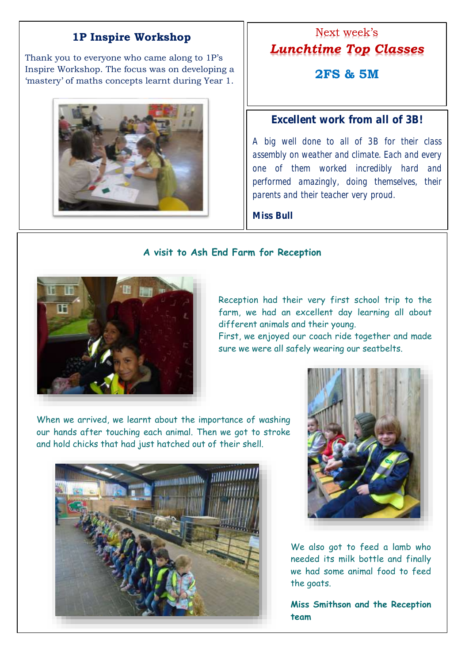#### **1P Inspire Workshop**

Thank you to everyone who came along to 1P's Inspire Workshop. The focus was on developing a 'mastery' of maths concepts learnt during Year 1.



## Next week's *Lunchtime Top Classes* **2FS & 5M**

#### **Excellent work from all of 3B!**

A big well done to all of 3B for their class assembly on weather and climate. Each and every one of them worked incredibly hard and performed amazingly, doing themselves, their parents and their teacher very proud.

**Miss Bull**

#### **A visit to Ash End Farm for Reception**



٦

Reception had their very first school trip to the farm, we had an excellent day learning all about different animals and their young.

First, we enjoyed our coach ride together and made sure we were all safely wearing our seatbelts.

When we arrived, we learnt about the importance of washing our hands after touching each animal. Then we got to stroke and hold chicks that had just hatched out of their shell.





We also got to feed a lamb who needed its milk bottle and finally we had some animal food to feed the goats.

**Miss Smithson and the Reception team**